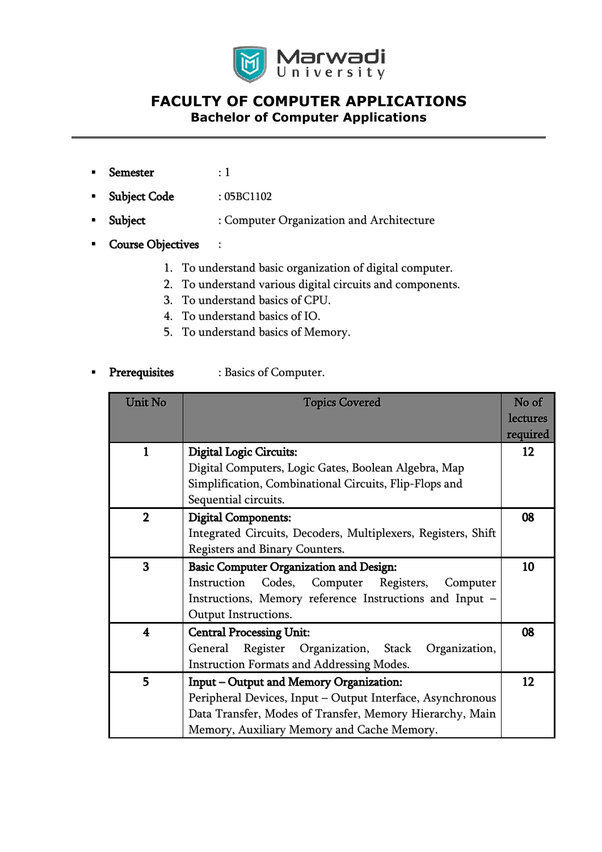

## **FACULTY OF COMPUTER APPLICATIONS Bachelor of Computer Applications**

- Semester : 1
- Subject Code : 05BC1102
- Subject : Computer Organization and Architecture
- Course Objectives :
	- 1. To understand basic organization of digital computer.
	- 2. To understand various digital circuits and components.
	- 3. To understand basics of CPU.
	- 4. To understand basics of IO.
	- 5. To understand basics of Memory.
- **Prerequisites** : Basics of Computer.

| <b>Unit No</b> | <b>Topics Covered</b>                                         | No of<br><b>lectures</b> |
|----------------|---------------------------------------------------------------|--------------------------|
|                |                                                               | required                 |
| $\mathbf{1}$   | <b>Digital Logic Circuits:</b>                                | 12                       |
|                | Digital Computers, Logic Gates, Boolean Algebra, Map          |                          |
|                | Simplification, Combinational Circuits, Flip-Flops and        |                          |
|                | Sequential circuits.                                          |                          |
| $\overline{2}$ | <b>Digital Components:</b>                                    | 08                       |
|                | Integrated Circuits, Decoders, Multiplexers, Registers, Shift |                          |
|                | Registers and Binary Counters.                                |                          |
| 3              | <b>Basic Computer Organization and Design:</b>                | 10                       |
|                | Instruction<br>Codes,<br>Computer<br>Registers,<br>Computer   |                          |
|                | Instructions, Memory reference Instructions and Input -       |                          |
|                | Output Instructions.                                          |                          |
| 4              | <b>Central Processing Unit:</b>                               | 08                       |
|                | Register<br>General<br>Organization, Stack Organization,      |                          |
|                | <b>Instruction Formats and Addressing Modes.</b>              |                          |
| 5              | Input - Output and Memory Organization:                       | 12                       |
|                | Peripheral Devices, Input - Output Interface, Asynchronous    |                          |
|                | Data Transfer, Modes of Transfer, Memory Hierarchy, Main      |                          |
|                | Memory, Auxiliary Memory and Cache Memory.                    |                          |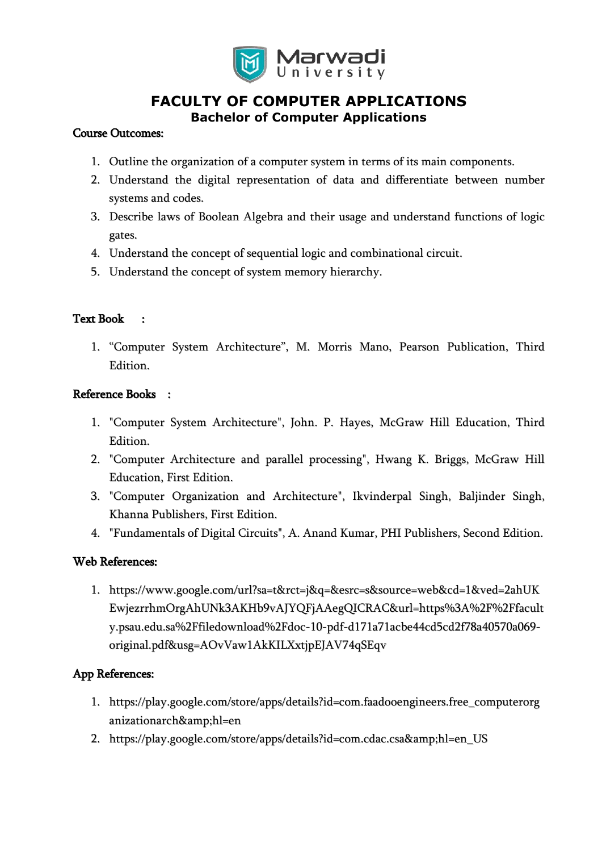

## **FACULTY OF COMPUTER APPLICATIONS Bachelor of Computer Applications**

#### Course Outcomes:

- 1. Outline the organization of a computer system in terms of its main components.
- 2. Understand the digital representation of data and differentiate between number systems and codes.
- 3. Describe laws of Boolean Algebra and their usage and understand functions of logic gates.
- 4. Understand the concept of sequential logic and combinational circuit.
- 5. Understand the concept of system memory hierarchy.

#### Text Book :

1. "Computer System Architecture", M. Morris Mano, Pearson Publication, Third Edition.

#### Reference Books :

- 1. "Computer System Architecture", John. P. Hayes, McGraw Hill Education, Third Edition.
- 2. "Computer Architecture and parallel processing", Hwang K. Briggs, McGraw Hill Education, First Edition.
- 3. "Computer Organization and Architecture", Ikvinderpal Singh, Baljinder Singh, Khanna Publishers, First Edition.
- 4. "Fundamentals of Digital Circuits", A. Anand Kumar, PHI Publishers, Second Edition.

#### Web References:

1. https://www.google.com/url?sa=t&rct=j&q=&esrc=s&source=web&cd=1&ved=2ahUK EwjezrrhmOrgAhUNk3AKHb9vAJYQFjAAegQICRAC&url=https%3A%2F%2Ffacult y.psau.edu.sa%2Ffiledownload%2Fdoc-10-pdf-d171a71acbe44cd5cd2f78a40570a069 original.pdf&usg=AOvVaw1AkKILXxtjpEJAV74qSEqv

### App References:

- 1. https://play.google.com/store/apps/details?id=com.faadooengineers.free\_computerorg anizationarch&hl=en
- 2. https://play.google.com/store/apps/details?id=com.cdac.csa&hl=en\_US